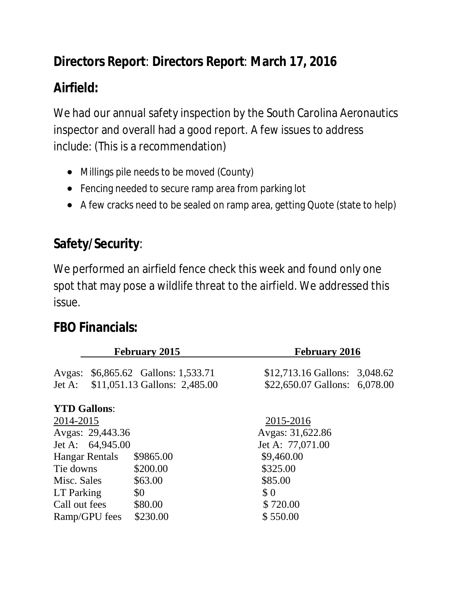# **Directors Report**: **Directors Report**: **March 17, 2016**

# **Airfield:**

We had our annual safety inspection by the South Carolina Aeronautics inspector and overall had a good report. A few issues to address include: (This is a recommendation)

- Millings pile needs to be moved (County)
- Fencing needed to secure ramp area from parking lot
- A few cracks need to be sealed on ramp area, getting Quote (state to help)

# **Safety/Security**:

We performed an airfield fence check this week and found only one spot that may pose a wildlife threat to the airfield. We addressed this issue.

#### **FBO Financials:**

| <b>February 2016</b>          |
|-------------------------------|
| \$12,713.16 Gallons: 3,048.62 |
| \$22,650.07 Gallons: 6,078.00 |
|                               |
| 2015-2016                     |
| Avgas: 31,622.86              |
| Jet A: 77,071.00              |
| \$9,460.00                    |
|                               |
|                               |
|                               |
| \$720.00                      |
| \$550.00                      |
| \$325.00                      |